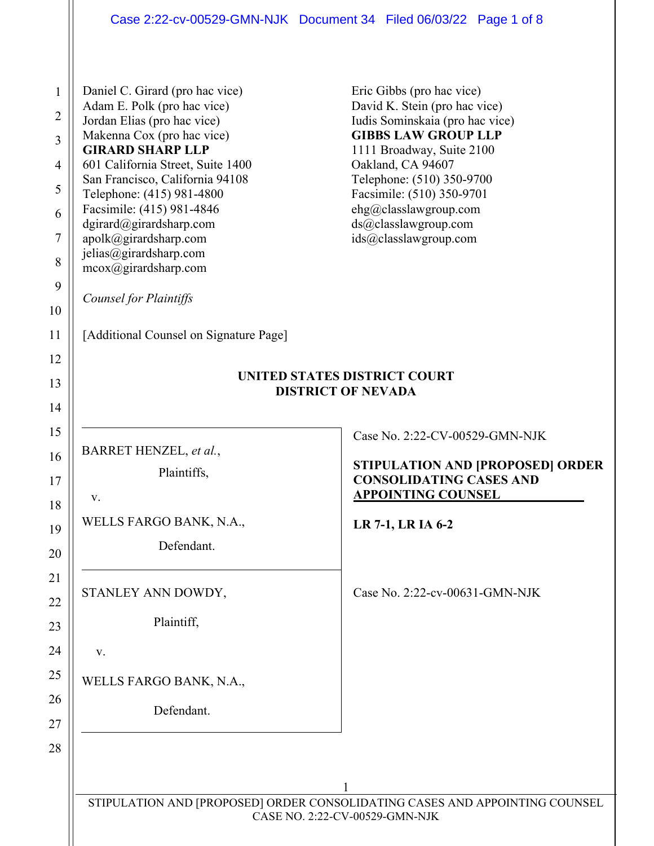| $\mathbf{1}$<br>Adam E. Polk (pro hac vice)<br>$\overline{2}$<br>Jordan Elias (pro hac vice)<br>Makenna Cox (pro hac vice)<br>$\overline{3}$<br><b>GIRARD SHARP LLP</b><br>$\overline{4}$<br>5<br>Telephone: (415) 981-4800<br>Facsimile: (415) 981-4846<br>6<br>dgirard@girardsharp.com<br>$\boldsymbol{7}$<br>apolk@girardsharp.com<br>jelias@girardsharp.com<br>8<br>mcox@girardsharp.com<br>9<br><b>Counsel for Plaintiffs</b><br>10 | Daniel C. Girard (pro hac vice)<br>601 California Street, Suite 1400<br>San Francisco, California 94108 | Eric Gibbs (pro hac vice)<br>David K. Stein (pro hac vice)<br>Iudis Sominskaia (pro hac vice)<br><b>GIBBS LAW GROUP LLP</b><br>1111 Broadway, Suite 2100<br>Oakland, CA 94607<br>Telephone: (510) 350-9700<br>Facsimile: (510) 350-9701<br>ehg@classlawgroup.com<br>ds@classlawgroup.com<br>ids@classlawgroup.com |  |  |
|------------------------------------------------------------------------------------------------------------------------------------------------------------------------------------------------------------------------------------------------------------------------------------------------------------------------------------------------------------------------------------------------------------------------------------------|---------------------------------------------------------------------------------------------------------|-------------------------------------------------------------------------------------------------------------------------------------------------------------------------------------------------------------------------------------------------------------------------------------------------------------------|--|--|
| 11                                                                                                                                                                                                                                                                                                                                                                                                                                       | [Additional Counsel on Signature Page]                                                                  |                                                                                                                                                                                                                                                                                                                   |  |  |
| 12                                                                                                                                                                                                                                                                                                                                                                                                                                       | UNITED STATES DISTRICT COURT                                                                            |                                                                                                                                                                                                                                                                                                                   |  |  |
| 13                                                                                                                                                                                                                                                                                                                                                                                                                                       | <b>DISTRICT OF NEVADA</b>                                                                               |                                                                                                                                                                                                                                                                                                                   |  |  |
| 14                                                                                                                                                                                                                                                                                                                                                                                                                                       |                                                                                                         |                                                                                                                                                                                                                                                                                                                   |  |  |
| 15<br>BARRET HENZEL, et al.,                                                                                                                                                                                                                                                                                                                                                                                                             |                                                                                                         | Case No. 2:22-CV-00529-GMN-NJK                                                                                                                                                                                                                                                                                    |  |  |
| 16                                                                                                                                                                                                                                                                                                                                                                                                                                       | Plaintiffs,                                                                                             | STIPULATION AND [PROPOSED] ORDER                                                                                                                                                                                                                                                                                  |  |  |
| 17<br>V.                                                                                                                                                                                                                                                                                                                                                                                                                                 |                                                                                                         | <b>CONSOLIDATING CASES AND</b><br><b>APPOINTING COUNSEL</b>                                                                                                                                                                                                                                                       |  |  |
| 18<br>19                                                                                                                                                                                                                                                                                                                                                                                                                                 | WELLS FARGO BANK, N.A.,                                                                                 | LR 7-1, LR IA 6-2                                                                                                                                                                                                                                                                                                 |  |  |
| 20                                                                                                                                                                                                                                                                                                                                                                                                                                       | Defendant.                                                                                              |                                                                                                                                                                                                                                                                                                                   |  |  |
| 21                                                                                                                                                                                                                                                                                                                                                                                                                                       |                                                                                                         |                                                                                                                                                                                                                                                                                                                   |  |  |
| STANLEY ANN DOWDY,<br>22                                                                                                                                                                                                                                                                                                                                                                                                                 |                                                                                                         | Case No. 2:22-cv-00631-GMN-NJK                                                                                                                                                                                                                                                                                    |  |  |
| 23                                                                                                                                                                                                                                                                                                                                                                                                                                       | Plaintiff,                                                                                              |                                                                                                                                                                                                                                                                                                                   |  |  |
| 24<br>V.                                                                                                                                                                                                                                                                                                                                                                                                                                 |                                                                                                         |                                                                                                                                                                                                                                                                                                                   |  |  |
| 25                                                                                                                                                                                                                                                                                                                                                                                                                                       | WELLS FARGO BANK, N.A.,                                                                                 |                                                                                                                                                                                                                                                                                                                   |  |  |
| 26                                                                                                                                                                                                                                                                                                                                                                                                                                       | Defendant.                                                                                              |                                                                                                                                                                                                                                                                                                                   |  |  |
| 27                                                                                                                                                                                                                                                                                                                                                                                                                                       |                                                                                                         |                                                                                                                                                                                                                                                                                                                   |  |  |
| 28                                                                                                                                                                                                                                                                                                                                                                                                                                       |                                                                                                         |                                                                                                                                                                                                                                                                                                                   |  |  |
|                                                                                                                                                                                                                                                                                                                                                                                                                                          |                                                                                                         |                                                                                                                                                                                                                                                                                                                   |  |  |
|                                                                                                                                                                                                                                                                                                                                                                                                                                          |                                                                                                         | STIPULATION AND [PROPOSED] ORDER CONSOLIDATING CASES AND APPOINTING COUNSEL                                                                                                                                                                                                                                       |  |  |
|                                                                                                                                                                                                                                                                                                                                                                                                                                          |                                                                                                         | CASE NO. 2:22-CV-00529-GMN-NJK                                                                                                                                                                                                                                                                                    |  |  |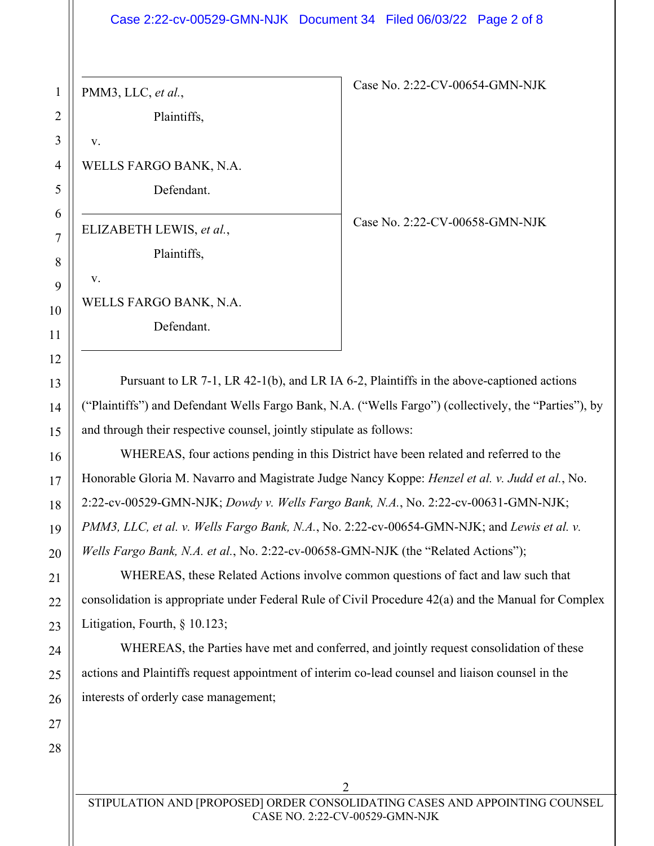## Case 2:22-cv-00529-GMN-NJK Document 34 Filed 06/03/22 Page 2 of 8

PMM3, LLC, *et al.*,

Plaintiffs,

v.

v.

WELLS FARGO BANK, N.A.

Defendant.

ELIZABETH LEWIS, *et al.*,

Plaintiffs,

WELLS FARGO BANK, N.A.

Defendant.

Case No. 2:22-CV-00658-GMN-NJK

Case No. 2:22-CV-00654-GMN-NJK

Pursuant to LR 7-1, LR 42-1(b), and LR IA 6-2, Plaintiffs in the above-captioned actions ("Plaintiffs") and Defendant Wells Fargo Bank, N.A. ("Wells Fargo") (collectively, the "Parties"), by and through their respective counsel, jointly stipulate as follows:

WHEREAS, four actions pending in this District have been related and referred to the Honorable Gloria M. Navarro and Magistrate Judge Nancy Koppe: *Henzel et al. v. Judd et al.*, No. 2:22-cv-00529-GMN-NJK; *Dowdy v. Wells Fargo Bank, N.A.*, No. 2:22-cv-00631-GMN-NJK; *PMM3, LLC, et al. v. Wells Fargo Bank, N.A.*, No. 2:22-cv-00654-GMN-NJK; and *Lewis et al. v. Wells Fargo Bank, N.A. et al.*, No. 2:22-cv-00658-GMN-NJK (the "Related Actions");

WHEREAS, these Related Actions involve common questions of fact and law such that consolidation is appropriate under Federal Rule of Civil Procedure 42(a) and the Manual for Complex Litigation, Fourth, § 10.123;

WHEREAS, the Parties have met and conferred, and jointly request consolidation of these actions and Plaintiffs request appointment of interim co-lead counsel and liaison counsel in the interests of orderly case management;

STIPULATION AND [PROPOSED] ORDER CONSOLIDATING CASES AND APPOINTING COUNSEL CASE NO. 2:22-CV-00529-GMN-NJK

2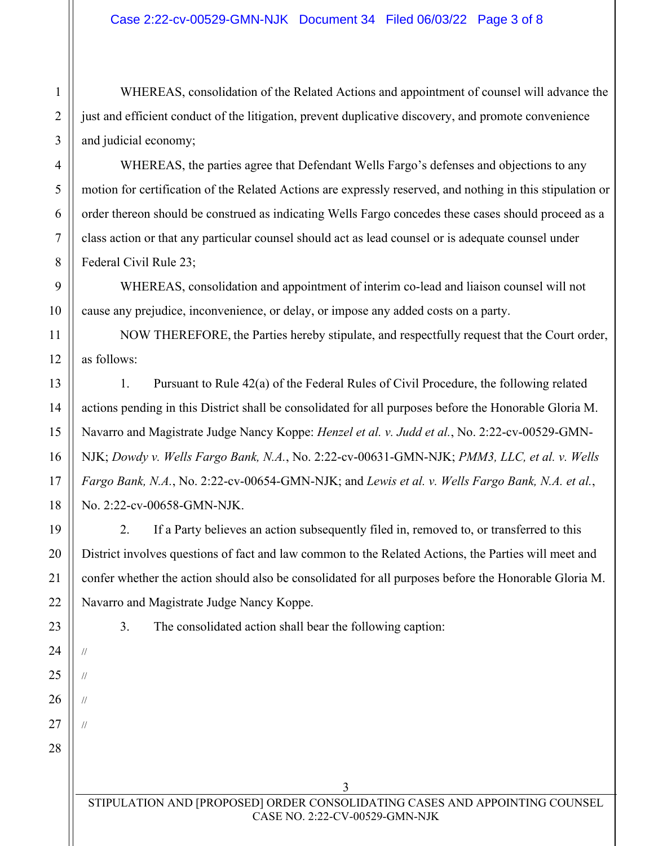WHEREAS, consolidation of the Related Actions and appointment of counsel will advance the just and efficient conduct of the litigation, prevent duplicative discovery, and promote convenience and judicial economy;

WHEREAS, the parties agree that Defendant Wells Fargo's defenses and objections to any motion for certification of the Related Actions are expressly reserved, and nothing in this stipulation or order thereon should be construed as indicating Wells Fargo concedes these cases should proceed as a class action or that any particular counsel should act as lead counsel or is adequate counsel under Federal Civil Rule 23;

WHEREAS, consolidation and appointment of interim co-lead and liaison counsel will not cause any prejudice, inconvenience, or delay, or impose any added costs on a party.

NOW THEREFORE, the Parties hereby stipulate, and respectfully request that the Court order, as follows:

1. Pursuant to Rule 42(a) of the Federal Rules of Civil Procedure, the following related actions pending in this District shall be consolidated for all purposes before the Honorable Gloria M. Navarro and Magistrate Judge Nancy Koppe: *Henzel et al. v. Judd et al.*, No. 2:22-cv-00529-GMN-NJK; *Dowdy v. Wells Fargo Bank, N.A.*, No. 2:22-cv-00631-GMN-NJK; *PMM3, LLC, et al. v. Wells Fargo Bank, N.A.*, No. 2:22-cv-00654-GMN-NJK; and *Lewis et al. v. Wells Fargo Bank, N.A. et al.*, No. 2:22-cv-00658-GMN-NJK.

2. If a Party believes an action subsequently filed in, removed to, or transferred to this District involves questions of fact and law common to the Related Actions, the Parties will meet and confer whether the action should also be consolidated for all purposes before the Honorable Gloria M. Navarro and Magistrate Judge Nancy Koppe.

//

//

//

//

3. The consolidated action shall bear the following caption: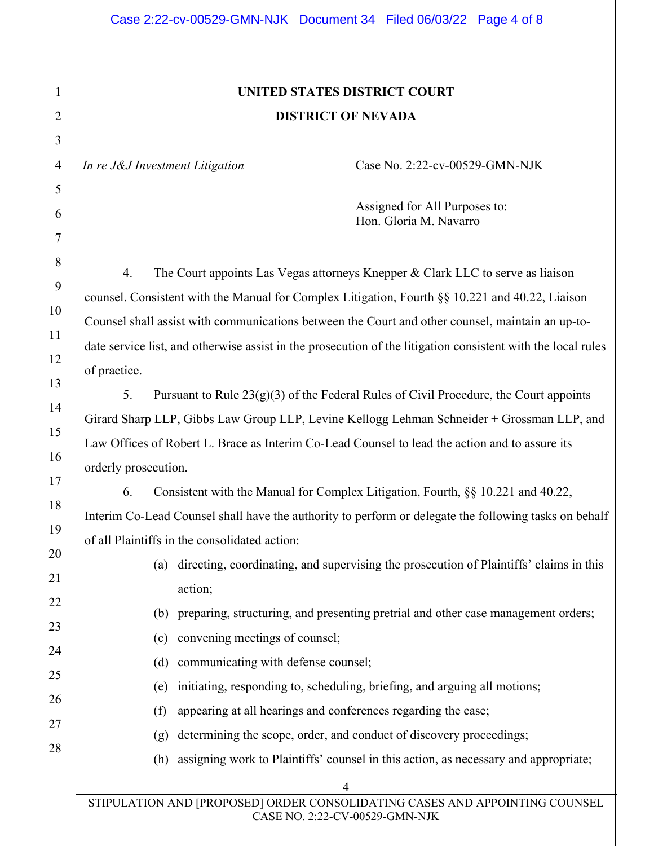## **UNITED STATES DISTRICT COURT DISTRICT OF NEVADA**

*In re J&J Investment Litigation* | Case No. 2:22-cv-00529-GMN-NJK

Assigned for All Purposes to: Hon. Gloria M. Navarro

4. The Court appoints Las Vegas attorneys Knepper & Clark LLC to serve as liaison counsel. Consistent with the Manual for Complex Litigation, Fourth §§ 10.221 and 40.22, Liaison Counsel shall assist with communications between the Court and other counsel, maintain an up-todate service list, and otherwise assist in the prosecution of the litigation consistent with the local rules of practice.

5. Pursuant to Rule  $23(g)(3)$  of the Federal Rules of Civil Procedure, the Court appoints Girard Sharp LLP, Gibbs Law Group LLP, Levine Kellogg Lehman Schneider + Grossman LLP, and Law Offices of Robert L. Brace as Interim Co-Lead Counsel to lead the action and to assure its orderly prosecution.

6. Consistent with the Manual for Complex Litigation, Fourth, §§ 10.221 and 40.22, Interim Co-Lead Counsel shall have the authority to perform or delegate the following tasks on behalf of all Plaintiffs in the consolidated action:

- (a) directing, coordinating, and supervising the prosecution of Plaintiffs' claims in this action;
- (b) preparing, structuring, and presenting pretrial and other case management orders;
- (c) convening meetings of counsel;
- (d) communicating with defense counsel;
- (e) initiating, responding to, scheduling, briefing, and arguing all motions;
- (f) appearing at all hearings and conferences regarding the case;
- (g) determining the scope, order, and conduct of discovery proceedings;
- (h) assigning work to Plaintiffs' counsel in this action, as necessary and appropriate;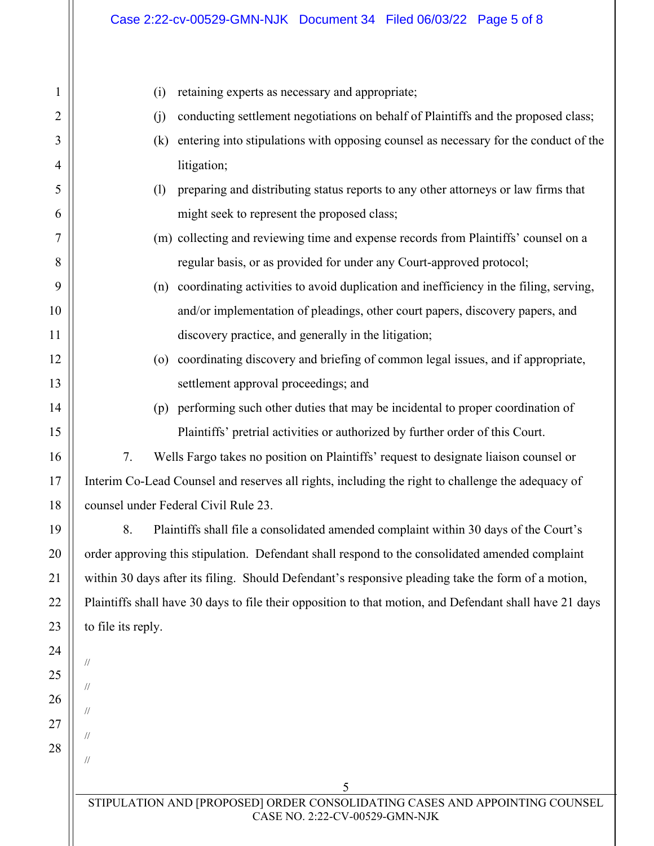| $\mathbf{1}$ | retaining experts as necessary and appropriate;<br>(i)                                                        |  |  |  |
|--------------|---------------------------------------------------------------------------------------------------------------|--|--|--|
| 2            | conducting settlement negotiations on behalf of Plaintiffs and the proposed class;<br>(i)                     |  |  |  |
| 3            | entering into stipulations with opposing counsel as necessary for the conduct of the<br>(k)                   |  |  |  |
| 4            | litigation;                                                                                                   |  |  |  |
| 5            | preparing and distributing status reports to any other attorneys or law firms that<br>(1)                     |  |  |  |
| 6            | might seek to represent the proposed class;                                                                   |  |  |  |
| 7            | (m) collecting and reviewing time and expense records from Plaintiffs' counsel on a                           |  |  |  |
| 8            | regular basis, or as provided for under any Court-approved protocol;                                          |  |  |  |
| 9            | (n) coordinating activities to avoid duplication and inefficiency in the filing, serving,                     |  |  |  |
| 10           | and/or implementation of pleadings, other court papers, discovery papers, and                                 |  |  |  |
| 11           | discovery practice, and generally in the litigation;                                                          |  |  |  |
| 12           | (o) coordinating discovery and briefing of common legal issues, and if appropriate,                           |  |  |  |
| 13           | settlement approval proceedings; and                                                                          |  |  |  |
| 14           | (p) performing such other duties that may be incidental to proper coordination of                             |  |  |  |
| 15           | Plaintiffs' pretrial activities or authorized by further order of this Court.                                 |  |  |  |
| 16           | 7.<br>Wells Fargo takes no position on Plaintiffs' request to designate liaison counsel or                    |  |  |  |
| 17           | Interim Co-Lead Counsel and reserves all rights, including the right to challenge the adequacy of             |  |  |  |
| 18           | counsel under Federal Civil Rule 23.                                                                          |  |  |  |
| 19           | 8.<br>Plaintiffs shall file a consolidated amended complaint within 30 days of the Court's                    |  |  |  |
| 20           | order approving this stipulation. Defendant shall respond to the consolidated amended complaint               |  |  |  |
| 21           | within 30 days after its filing. Should Defendant's responsive pleading take the form of a motion,            |  |  |  |
| 22           | Plaintiffs shall have 30 days to file their opposition to that motion, and Defendant shall have 21 days       |  |  |  |
| 23           | to file its reply.                                                                                            |  |  |  |
| 24           | 11                                                                                                            |  |  |  |
| 25           | $^{\prime\prime}$                                                                                             |  |  |  |
| 26           | //                                                                                                            |  |  |  |
| 27           | $^{\prime\prime}$                                                                                             |  |  |  |
| 28           | 11                                                                                                            |  |  |  |
|              | 5                                                                                                             |  |  |  |
|              | STIPULATION AND [PROPOSED] ORDER CONSOLIDATING CASES AND APPOINTING COUNSEL<br>CASE NO. 2:22-CV-00529-GMN-NJK |  |  |  |
|              |                                                                                                               |  |  |  |
|              |                                                                                                               |  |  |  |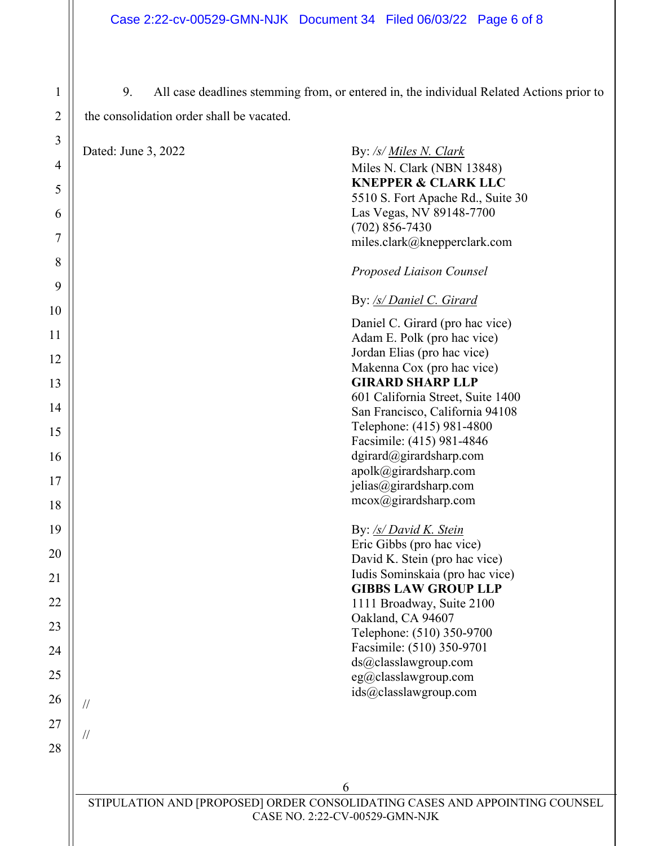9. All case deadlines stemming from, or entered in, the individual Related Actions prior to the consolidation order shall be vacated.

| 3<br>4<br>5<br>6<br>7 | Dated: June 3, 2022 | By: /s/ Miles N. Clark<br>Miles N. Clark (NBN 13848)<br><b>KNEPPER &amp; CLARK LLC</b><br>5510 S. Fort Apache Rd., Suite 30<br>Las Vegas, NV 89148-7700<br>$(702) 856 - 7430$<br>miles.clark@knepperclark.com |
|-----------------------|---------------------|---------------------------------------------------------------------------------------------------------------------------------------------------------------------------------------------------------------|
| 8<br>9                |                     | Proposed Liaison Counsel                                                                                                                                                                                      |
| $\pmb{0}$             |                     | By: /s/ Daniel C. Girard                                                                                                                                                                                      |
| 1<br>$\overline{c}$   |                     | Daniel C. Girard (pro hac vice)<br>Adam E. Polk (pro hac vice)<br>Jordan Elias (pro hac vice)<br>Makenna Cox (pro hac vice)                                                                                   |
| 3                     |                     | <b>GIRARD SHARP LLP</b><br>601 California Street, Suite 1400                                                                                                                                                  |
| 4                     |                     | San Francisco, California 94108<br>Telephone: (415) 981-4800                                                                                                                                                  |
| 5                     |                     | Facsimile: (415) 981-4846                                                                                                                                                                                     |
| 6<br>7                |                     | dgirard@girardsharp.com<br>apolk@girardsharp.com                                                                                                                                                              |
| 8                     |                     | jelias@girardsharp.com<br>$m\text{cox}(\text{@girardsharp.com})$                                                                                                                                              |
| 9                     |                     | By: /s/ David K. Stein                                                                                                                                                                                        |
| $\pmb{0}$             |                     | Eric Gibbs (pro hac vice)<br>David K. Stein (pro hac vice)                                                                                                                                                    |
| $\mathbf{1}$          |                     | Iudis Sominskaia (pro hac vice)<br><b>GIBBS LAW GROUP LLP</b>                                                                                                                                                 |
| $\overline{c}$        |                     | 1111 Broadway, Suite 2100                                                                                                                                                                                     |
| 3                     |                     | Oakland, CA 94607<br>Telephone: (510) 350-9700                                                                                                                                                                |
| 4                     |                     | Facsimile: (510) 350-9701<br>ds@classlawgroup.com                                                                                                                                                             |
| 5                     |                     | eg@classlawgroup.com<br>ids@classlawgroup.com                                                                                                                                                                 |
| 6                     | $\sqrt{}$           |                                                                                                                                                                                                               |
| $\overline{7}$<br>8   | $\frac{1}{2}$       |                                                                                                                                                                                                               |
|                       |                     |                                                                                                                                                                                                               |
|                       |                     | 6                                                                                                                                                                                                             |

STIPULATION AND [PROPOSED] ORDER CONSOLIDATING CASES AND APPOINTING COUNSEL CASE NO. 2:22-CV-00529-GMN-NJK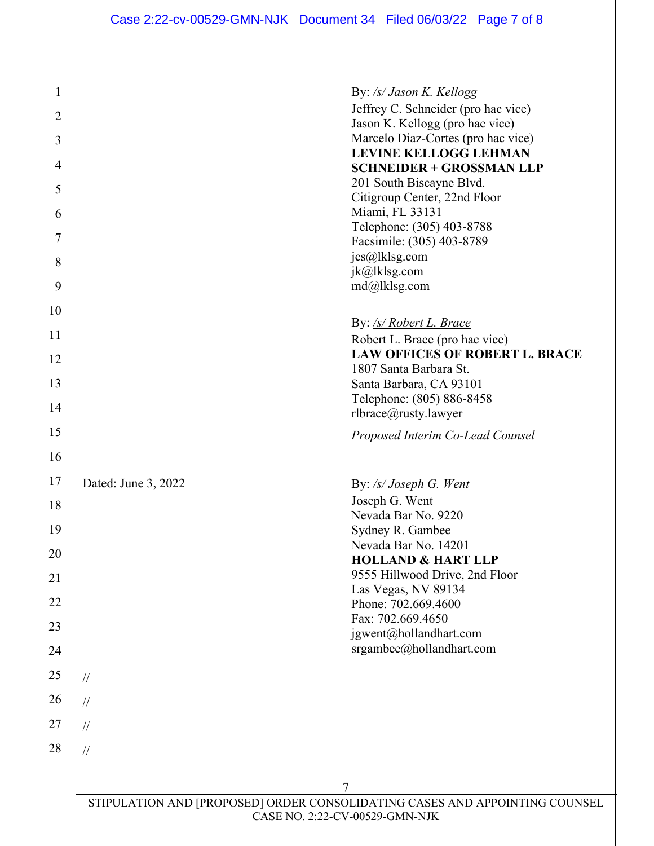Case 2:22-cv-00529-GMN-NJK Document 34 Filed 06/03/22 Page 7 of 8

| $\mathbf{1}$                                                                                                  | By: /s/ Jason K. Kellogg                                                |  |  |
|---------------------------------------------------------------------------------------------------------------|-------------------------------------------------------------------------|--|--|
| $\overline{2}$                                                                                                | Jeffrey C. Schneider (pro hac vice)<br>Jason K. Kellogg (pro hac vice)  |  |  |
| 3                                                                                                             | Marcelo Diaz-Cortes (pro hac vice)                                      |  |  |
| 4                                                                                                             | <b>LEVINE KELLOGG LEHMAN</b>                                            |  |  |
|                                                                                                               | <b>SCHNEIDER + GROSSMAN LLP</b><br>201 South Biscayne Blvd.             |  |  |
| 5                                                                                                             | Citigroup Center, 22nd Floor                                            |  |  |
| 6                                                                                                             | Miami, FL 33131<br>Telephone: (305) 403-8788                            |  |  |
| 7                                                                                                             | Facsimile: (305) 403-8789                                               |  |  |
| 8                                                                                                             | jcs@lklsg.com                                                           |  |  |
| 9                                                                                                             | jk@lklsg.com<br>md@llklsg.com                                           |  |  |
| 10                                                                                                            |                                                                         |  |  |
|                                                                                                               | By: /s/ Robert L. Brace                                                 |  |  |
| 11                                                                                                            | Robert L. Brace (pro hac vice)<br><b>LAW OFFICES OF ROBERT L. BRACE</b> |  |  |
| 12                                                                                                            | 1807 Santa Barbara St.                                                  |  |  |
| 13                                                                                                            | Santa Barbara, CA 93101                                                 |  |  |
| 14                                                                                                            | Telephone: (805) 886-8458<br>rlbrace@rusty.lawyer                       |  |  |
| 15                                                                                                            | Proposed Interim Co-Lead Counsel                                        |  |  |
| 16                                                                                                            |                                                                         |  |  |
| 17                                                                                                            | Dated: June 3, 2022<br>By: /s/ Joseph G. Went                           |  |  |
| 18                                                                                                            | Joseph G. Went                                                          |  |  |
| 19                                                                                                            | Nevada Bar No. 9220<br>Sydney R. Gambee                                 |  |  |
|                                                                                                               | Nevada Bar No. 14201                                                    |  |  |
| 20                                                                                                            | <b>HOLLAND &amp; HART LLP</b>                                           |  |  |
| 21                                                                                                            | 9555 Hillwood Drive, 2nd Floor<br>Las Vegas, NV 89134                   |  |  |
| 22                                                                                                            | Phone: 702.669.4600                                                     |  |  |
| 23                                                                                                            | Fax: 702.669.4650<br>jgwent@hollandhart.com                             |  |  |
| 24                                                                                                            | srgambee@hollandhart.com                                                |  |  |
| 25                                                                                                            | $\frac{1}{2}$                                                           |  |  |
| 26                                                                                                            | $\frac{1}{2}$                                                           |  |  |
| 27                                                                                                            | $\frac{1}{2}$                                                           |  |  |
| 28                                                                                                            | $\frac{1}{2}$                                                           |  |  |
|                                                                                                               |                                                                         |  |  |
|                                                                                                               | 7                                                                       |  |  |
| STIPULATION AND [PROPOSED] ORDER CONSOLIDATING CASES AND APPOINTING COUNSEL<br>CASE NO. 2:22-CV-00529-GMN-NJK |                                                                         |  |  |
|                                                                                                               |                                                                         |  |  |